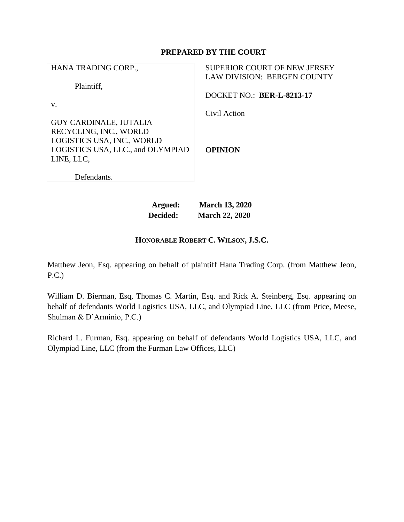# **PREPARED BY THE COURT**

| HANA TRADING CORP.,                                                                                                        | <b>SUPERIOR COURT OF NEW JERSEY</b><br>LAW DIVISION: BERGEN COUNTY |
|----------------------------------------------------------------------------------------------------------------------------|--------------------------------------------------------------------|
| Plaintiff.<br>V.                                                                                                           | <b>DOCKET NO.: BER-L-8213-17</b>                                   |
| <b>GUY CARDINALE, JUTALIA</b><br>RECYCLING, INC., WORLD<br>LOGISTICS USA, INC., WORLD<br>LOGISTICS USA, LLC., and OLYMPIAD | Civil Action<br><b>OPINION</b>                                     |
| LINE, LLC.<br>Defendants.                                                                                                  |                                                                    |

| Argued:  | <b>March 13, 2020</b> |
|----------|-----------------------|
| Decided: | <b>March 22, 2020</b> |

# **HONORABLE ROBERT C. WILSON, J.S.C.**

Matthew Jeon, Esq. appearing on behalf of plaintiff Hana Trading Corp. (from Matthew Jeon, P.C.)

William D. Bierman, Esq, Thomas C. Martin, Esq. and Rick A. Steinberg, Esq. appearing on behalf of defendants World Logistics USA, LLC, and Olympiad Line, LLC (from Price, Meese, Shulman & D'Arminio, P.C.)

Richard L. Furman, Esq. appearing on behalf of defendants World Logistics USA, LLC, and Olympiad Line, LLC (from the Furman Law Offices, LLC)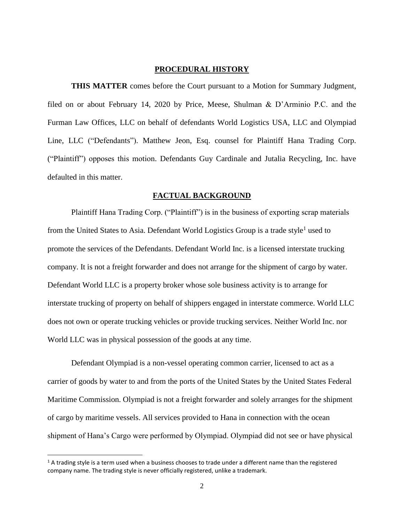### **PROCEDURAL HISTORY**

**THIS MATTER** comes before the Court pursuant to a Motion for Summary Judgment, filed on or about February 14, 2020 by Price, Meese, Shulman & D'Arminio P.C. and the Furman Law Offices, LLC on behalf of defendants World Logistics USA, LLC and Olympiad Line, LLC ("Defendants"). Matthew Jeon, Esq. counsel for Plaintiff Hana Trading Corp. ("Plaintiff") opposes this motion. Defendants Guy Cardinale and Jutalia Recycling, Inc. have defaulted in this matter.

## **FACTUAL BACKGROUND**

Plaintiff Hana Trading Corp. ("Plaintiff") is in the business of exporting scrap materials from the United States to Asia. Defendant World Logistics Group is a trade style<sup>1</sup> used to promote the services of the Defendants. Defendant World Inc. is a licensed interstate trucking company. It is not a freight forwarder and does not arrange for the shipment of cargo by water. Defendant World LLC is a property broker whose sole business activity is to arrange for interstate trucking of property on behalf of shippers engaged in interstate commerce. World LLC does not own or operate trucking vehicles or provide trucking services. Neither World Inc. nor World LLC was in physical possession of the goods at any time.

Defendant Olympiad is a non-vessel operating common carrier, licensed to act as a carrier of goods by water to and from the ports of the United States by the United States Federal Maritime Commission. Olympiad is not a freight forwarder and solely arranges for the shipment of cargo by maritime vessels. All services provided to Hana in connection with the ocean shipment of Hana's Cargo were performed by Olympiad. Olympiad did not see or have physical

l

 $1/2$  A trading style is a term used when a business chooses to trade under a different name than the registered company name. The trading style is never officially registered, unlike a trademark.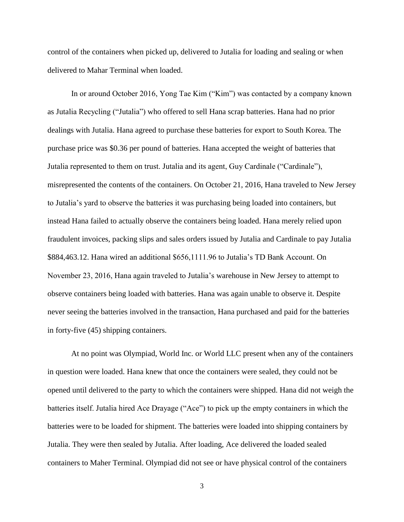control of the containers when picked up, delivered to Jutalia for loading and sealing or when delivered to Mahar Terminal when loaded.

In or around October 2016, Yong Tae Kim ("Kim") was contacted by a company known as Jutalia Recycling ("Jutalia") who offered to sell Hana scrap batteries. Hana had no prior dealings with Jutalia. Hana agreed to purchase these batteries for export to South Korea. The purchase price was \$0.36 per pound of batteries. Hana accepted the weight of batteries that Jutalia represented to them on trust. Jutalia and its agent, Guy Cardinale ("Cardinale"), misrepresented the contents of the containers. On October 21, 2016, Hana traveled to New Jersey to Jutalia's yard to observe the batteries it was purchasing being loaded into containers, but instead Hana failed to actually observe the containers being loaded. Hana merely relied upon fraudulent invoices, packing slips and sales orders issued by Jutalia and Cardinale to pay Jutalia \$884,463.12. Hana wired an additional \$656,1111.96 to Jutalia's TD Bank Account. On November 23, 2016, Hana again traveled to Jutalia's warehouse in New Jersey to attempt to observe containers being loaded with batteries. Hana was again unable to observe it. Despite never seeing the batteries involved in the transaction, Hana purchased and paid for the batteries in forty-five (45) shipping containers.

At no point was Olympiad, World Inc. or World LLC present when any of the containers in question were loaded. Hana knew that once the containers were sealed, they could not be opened until delivered to the party to which the containers were shipped. Hana did not weigh the batteries itself. Jutalia hired Ace Drayage ("Ace") to pick up the empty containers in which the batteries were to be loaded for shipment. The batteries were loaded into shipping containers by Jutalia. They were then sealed by Jutalia. After loading, Ace delivered the loaded sealed containers to Maher Terminal. Olympiad did not see or have physical control of the containers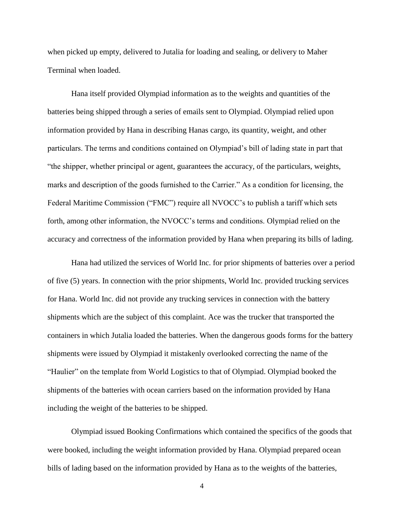when picked up empty, delivered to Jutalia for loading and sealing, or delivery to Maher Terminal when loaded.

Hana itself provided Olympiad information as to the weights and quantities of the batteries being shipped through a series of emails sent to Olympiad. Olympiad relied upon information provided by Hana in describing Hanas cargo, its quantity, weight, and other particulars. The terms and conditions contained on Olympiad's bill of lading state in part that "the shipper, whether principal or agent, guarantees the accuracy, of the particulars, weights, marks and description of the goods furnished to the Carrier." As a condition for licensing, the Federal Maritime Commission ("FMC") require all NVOCC's to publish a tariff which sets forth, among other information, the NVOCC's terms and conditions. Olympiad relied on the accuracy and correctness of the information provided by Hana when preparing its bills of lading.

Hana had utilized the services of World Inc. for prior shipments of batteries over a period of five (5) years. In connection with the prior shipments, World Inc. provided trucking services for Hana. World Inc. did not provide any trucking services in connection with the battery shipments which are the subject of this complaint. Ace was the trucker that transported the containers in which Jutalia loaded the batteries. When the dangerous goods forms for the battery shipments were issued by Olympiad it mistakenly overlooked correcting the name of the "Haulier" on the template from World Logistics to that of Olympiad. Olympiad booked the shipments of the batteries with ocean carriers based on the information provided by Hana including the weight of the batteries to be shipped.

Olympiad issued Booking Confirmations which contained the specifics of the goods that were booked, including the weight information provided by Hana. Olympiad prepared ocean bills of lading based on the information provided by Hana as to the weights of the batteries,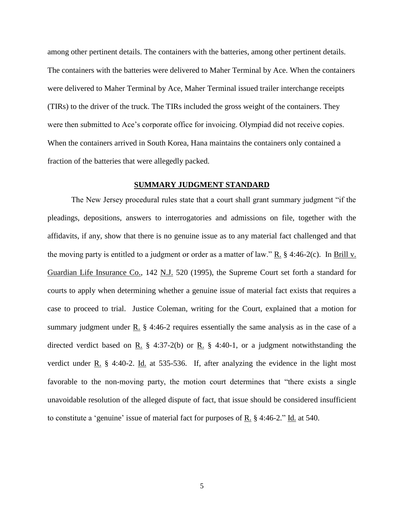among other pertinent details. The containers with the batteries, among other pertinent details. The containers with the batteries were delivered to Maher Terminal by Ace. When the containers were delivered to Maher Terminal by Ace, Maher Terminal issued trailer interchange receipts (TIRs) to the driver of the truck. The TIRs included the gross weight of the containers. They were then submitted to Ace's corporate office for invoicing. Olympiad did not receive copies. When the containers arrived in South Korea, Hana maintains the containers only contained a fraction of the batteries that were allegedly packed.

#### **SUMMARY JUDGMENT STANDARD**

The New Jersey procedural rules state that a court shall grant summary judgment "if the pleadings, depositions, answers to interrogatories and admissions on file, together with the affidavits, if any, show that there is no genuine issue as to any material fact challenged and that the moving party is entitled to a judgment or order as a matter of law."  $R_$ . § 4:46-2(c). In Brill v. Guardian Life Insurance Co., 142 N.J. 520 (1995), the Supreme Court set forth a standard for courts to apply when determining whether a genuine issue of material fact exists that requires a case to proceed to trial. Justice Coleman, writing for the Court, explained that a motion for summary judgment under  $\underline{R}$ . § 4:46-2 requires essentially the same analysis as in the case of a directed verdict based on R.  $\S$  4:37-2(b) or R.  $\S$  4:40-1, or a judgment notwithstanding the verdict under R. § 4:40-2. Id. at 535-536. If, after analyzing the evidence in the light most favorable to the non-moving party, the motion court determines that "there exists a single unavoidable resolution of the alleged dispute of fact, that issue should be considered insufficient to constitute a 'genuine' issue of material fact for purposes of  $R$ , § 4:46-2." Id. at 540.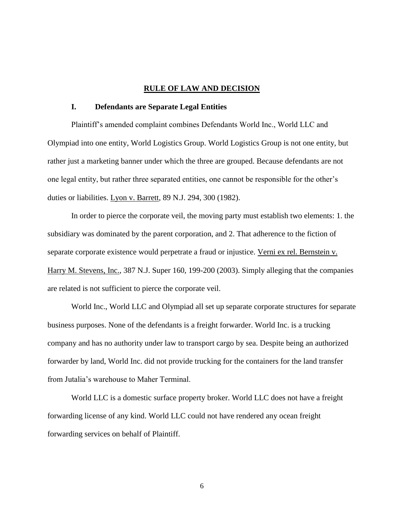#### **RULE OF LAW AND DECISION**

## **I. Defendants are Separate Legal Entities**

Plaintiff's amended complaint combines Defendants World Inc., World LLC and Olympiad into one entity, World Logistics Group. World Logistics Group is not one entity, but rather just a marketing banner under which the three are grouped. Because defendants are not one legal entity, but rather three separated entities, one cannot be responsible for the other's duties or liabilities. Lyon v. Barrett, 89 N.J. 294, 300 (1982).

In order to pierce the corporate veil, the moving party must establish two elements: 1. the subsidiary was dominated by the parent corporation, and 2. That adherence to the fiction of separate corporate existence would perpetrate a fraud or injustice. Verni ex rel. Bernstein v. Harry M. Stevens, Inc., 387 N.J. Super 160, 199-200 (2003). Simply alleging that the companies are related is not sufficient to pierce the corporate veil.

World Inc., World LLC and Olympiad all set up separate corporate structures for separate business purposes. None of the defendants is a freight forwarder. World Inc. is a trucking company and has no authority under law to transport cargo by sea. Despite being an authorized forwarder by land, World Inc. did not provide trucking for the containers for the land transfer from Jutalia's warehouse to Maher Terminal.

World LLC is a domestic surface property broker. World LLC does not have a freight forwarding license of any kind. World LLC could not have rendered any ocean freight forwarding services on behalf of Plaintiff.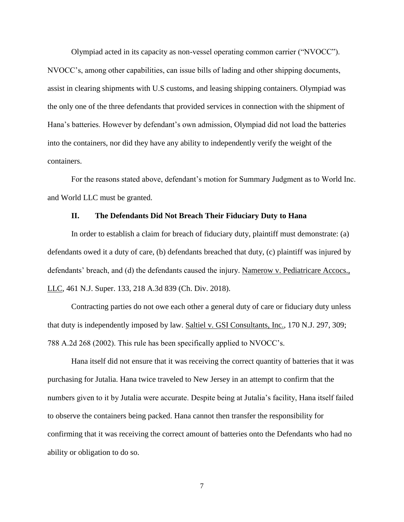Olympiad acted in its capacity as non-vessel operating common carrier ("NVOCC"). NVOCC's, among other capabilities, can issue bills of lading and other shipping documents, assist in clearing shipments with U.S customs, and leasing shipping containers. Olympiad was the only one of the three defendants that provided services in connection with the shipment of Hana's batteries. However by defendant's own admission, Olympiad did not load the batteries into the containers, nor did they have any ability to independently verify the weight of the containers.

For the reasons stated above, defendant's motion for Summary Judgment as to World Inc. and World LLC must be granted.

## **II. The Defendants Did Not Breach Their Fiduciary Duty to Hana**

In order to establish a claim for breach of fiduciary duty, plaintiff must demonstrate: (a) defendants owed it a duty of care, (b) defendants breached that duty, (c) plaintiff was injured by defendants' breach, and (d) the defendants caused the injury. Namerow v. Pediatricare Accocs., LLC, 461 N.J. Super. 133, 218 A.3d 839 (Ch. Div. 2018).

Contracting parties do not owe each other a general duty of care or fiduciary duty unless that duty is independently imposed by law. Saltiel v. GSI Consultants, Inc., 170 N.J. 297, 309; 788 A.2d 268 (2002). This rule has been specifically applied to NVOCC's.

Hana itself did not ensure that it was receiving the correct quantity of batteries that it was purchasing for Jutalia. Hana twice traveled to New Jersey in an attempt to confirm that the numbers given to it by Jutalia were accurate. Despite being at Jutalia's facility, Hana itself failed to observe the containers being packed. Hana cannot then transfer the responsibility for confirming that it was receiving the correct amount of batteries onto the Defendants who had no ability or obligation to do so.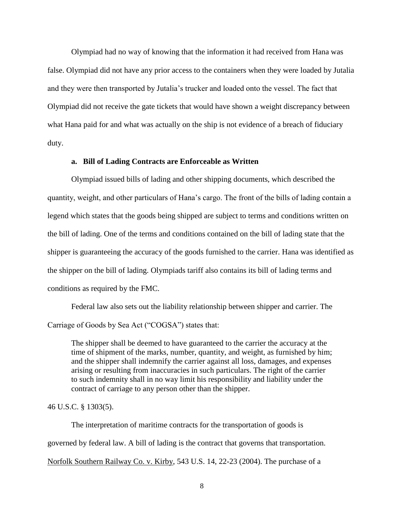Olympiad had no way of knowing that the information it had received from Hana was false. Olympiad did not have any prior access to the containers when they were loaded by Jutalia and they were then transported by Jutalia's trucker and loaded onto the vessel. The fact that Olympiad did not receive the gate tickets that would have shown a weight discrepancy between what Hana paid for and what was actually on the ship is not evidence of a breach of fiduciary duty.

#### **a. Bill of Lading Contracts are Enforceable as Written**

Olympiad issued bills of lading and other shipping documents, which described the quantity, weight, and other particulars of Hana's cargo. The front of the bills of lading contain a legend which states that the goods being shipped are subject to terms and conditions written on the bill of lading. One of the terms and conditions contained on the bill of lading state that the shipper is guaranteeing the accuracy of the goods furnished to the carrier. Hana was identified as the shipper on the bill of lading. Olympiads tariff also contains its bill of lading terms and conditions as required by the FMC.

Federal law also sets out the liability relationship between shipper and carrier. The Carriage of Goods by Sea Act ("COGSA") states that:

The shipper shall be deemed to have guaranteed to the carrier the accuracy at the time of shipment of the marks, number, quantity, and weight, as furnished by him; and the shipper shall indemnify the carrier against all loss, damages, and expenses arising or resulting from inaccuracies in such particulars. The right of the carrier to such indemnity shall in no way limit his responsibility and liability under the contract of carriage to any person other than the shipper.

# 46 U.S.C. § 1303(5).

The interpretation of maritime contracts for the transportation of goods is governed by federal law. A bill of lading is the contract that governs that transportation. Norfolk Southern Railway Co. v. Kirby, 543 U.S. 14, 22-23 (2004). The purchase of a